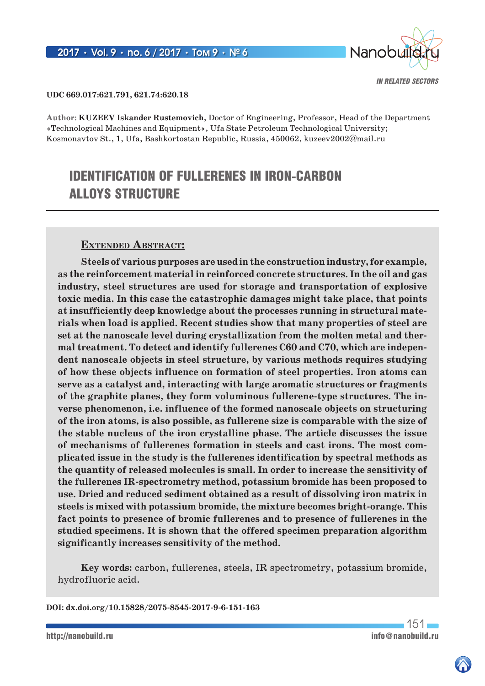

### **UDC 669.017:621.791, 621.74:620.18**

**Author: KUZEEV Iskander Rustemovich**, Doctor of Engineering, Professor, Head of the Department «Technological Machines and Equipment», Ufa State Petroleum Technological University; Kosmonavtov St., 1, Ufa, Bashkortostan Republic, Russia, 450062, kuzeev2002@mail.ru

# IDENTIFICATION OF FULLERENES IN IRON-CARBON ALLOYS STRUCTURE

### **Extended Abstract:**

**Steels of various purposes are used in the construction industry, for example, as the reinforcement material in reinforced concrete structures. In the oil and gas industry, steel structures are used for storage and transportation of explosive toxic media. In this case the catastrophic damages might take place, that points at insufficiently deep knowledge about the processes running in structural materials when load is applied. Recent studies show that many properties of steel are set at the nanoscale level during crystallization from the molten metal and thermal treatment. To detect and identify fullerenes С60 and С70, which are independent nanoscale objects in steel structure, by various methods requires studying of how these objects influence on formation of steel properties. Iron atoms can serve as a catalyst and, interacting with large aromatic structures or fragments of the graphite planes, they form voluminous fullerene-type structures. The inverse phenomenon, i.e. influence of the formed nanoscale objects on structuring of the iron atoms, is also possible, as fullerene size is comparable with the size of the stable nucleus of the iron crystalline phase. The article discusses the issue of mechanisms of fullerenes formation in steels and cast irons. The most complicated issue in the study is the fullerenes identification by spectral methods as the quantity of released molecules is small. In order to increase the sensitivity of the fullerenes IR-spectrometry method, potassium bromide has been proposed to use. Dried and reduced sediment obtained as a result of dissolving iron matrix in steels is mixed with potassium bromide, the mixture becomes bright-orange. This fact points to presence of bromic fullerenes and to presence of fullerenes in the studied specimens. It is shown that the offered specimen preparation algorithm significantly increases sensitivity of the method.**

**Key words:** carbon, fullerenes, steels, IR spectrometry, potassium bromide, hydrofluoric acid.

**DOI: dx.doi.org/10.15828/2075-8545-2017-9-6-151-163**

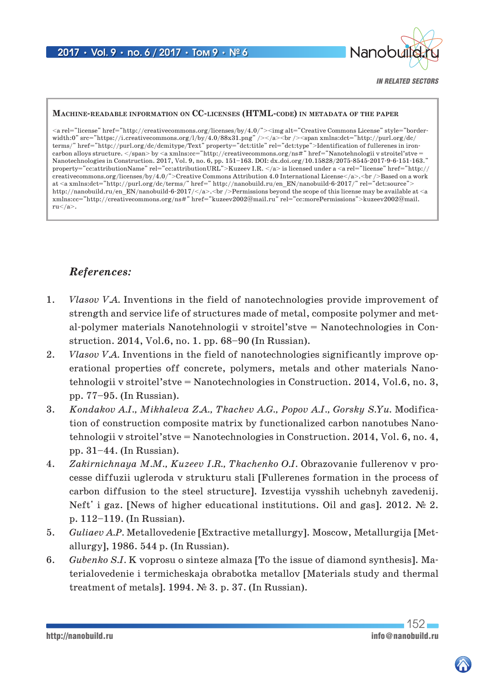

*IN RELATED SECTORS*

### **Machine-readable information on CC-licenses (HTML-code) in metadata of the paper**

<a rel="license" href="http://creativecommons.org/licenses/by/4.0/"><img alt="Creative Commons License" style="border $width:0" \label{eq:1} \begin{minipage}[t]{0.9\linewidth} \width: \begin{minipage}[t]{0.9\linewidth} \width: \begin{minipage}[t]{0.9\linewidth} \width: \begin{minipage}[t]{0.9\linewidth} \width: \begin{minipage}[t]{0.9\linewidth} \width: \begin{minipage}[t]{0.9\linewidth} \width: \begin{minipage}[t]{0.9\linewidth} \width: \begin{minipage}[t]{0.9\linewidth} \width: \begin{minipage}[t]{0.9\linewidth} \width: \begin{minipage}[t]{0.9\linewidth} \width: \begin{minipage}[t]{0.9\linewidth} \width: \begin{minipage}[t]{0.$ terms/" href="http://purl.org/dc/dcmitype/Text" property="dct:title" rel="dct:type">Identification of fullerenes in ironcarbon alloys structure. </span> by <a xmlns:cc="http://creativecommons.org/ns#" href="Nanotehnologii v stroitel'stve = Nanotechnologies in Construction. 2017, Vol. 9, no. 6, pp. 151–163. DOI: dx.doi.org/10.15828/2075-8545-2017-9-6-151-163." property="cc:attributionName" rel="cc:attributionURL">Kuzeev I.R. </a> is licensed under a <a rel="license" href="http:// creativecommons.org/licenses/by/4.0/">Creative Commons Attribution 4.0 International License</a>.<br/>>br/>> />Based on a work at <a xmlns:dct="http://purl.org/dc/terms/" href=" http://nanobuild.ru/en\_EN/nanobuild-6-2017/" rel="dct:source"> http://nanobuild.ru/en\_EN/nanobuild-6-2017/</a>.<br />>/>>Permissions beyond the scope of this license may be available at <a xmlns:cc="http://creativecommons.org/ns#" href="kuzeev2002@mail.ru" rel="cc:morePermissions">kuzeev2002@mail.  $ru$ .

## *References:*

- 1. *Vlasov V.A.* Inventions in the field of nanotechnologies provide improvement of strength and service life of structures made of metal, composite polymer and metal-polymer materials Nanotehnologii v stroitel'stve = Nanotechnologies in Construction. 2014, Vol.6, no. 1. pp. 68–90 (In Russian).
- 2. *Vlasov V.A.* Inventions in the field of nanotechnologies significantly improve operational properties off concrete, polymers, metals and other materials Nanotehnologii v stroitel'stve = Nanotechnologies in Construction. 2014, Vol.6, no. 3, pp. 77–95. (In Russian).
- 3. *Kondakov A.I., Mikhaleva Z.A., Tkachev A.G., Popov A.I., Gorsky S.Yu.* Modification of construction composite matrix by functionalized carbon nanotubes Nanotehnologii v stroitel'stve = Nanotechnologies in Construction. 2014, Vol. 6, no. 4, pp. 31–44. (In Russian).
- 4. *Zakirnichnaya M.M., Kuzeev I.R., Tkachenko O.I.* Obrazovanie fullerenov v processe diffuzii ugleroda v strukturu stali [Fullerenes formation in the process of carbon diffusion to the steel structure]. Izvestija vysshih uchebnyh zavedenij. Neft' i gaz. [News of higher educational institutions. Oil and gas]. 2012.  $\mathbb{N}^{\circ}$  2. p. 112–119. (In Russian).
- 5. *Guliaev A.P.* Metallovedenie [Extractive metallurgy]. Moscow, Metallurgija [Metallurgy], 1986. 544 p. (In Russian).
- 6. *Gubenko S.I.* K voprosu o sinteze almaza [To the issue of diamond synthesis]. Materialovedenie i termicheskaja obrabotka metallov [Materials study and thermal treatment of metals]. 1994. № 3. p. 37. (In Russian).

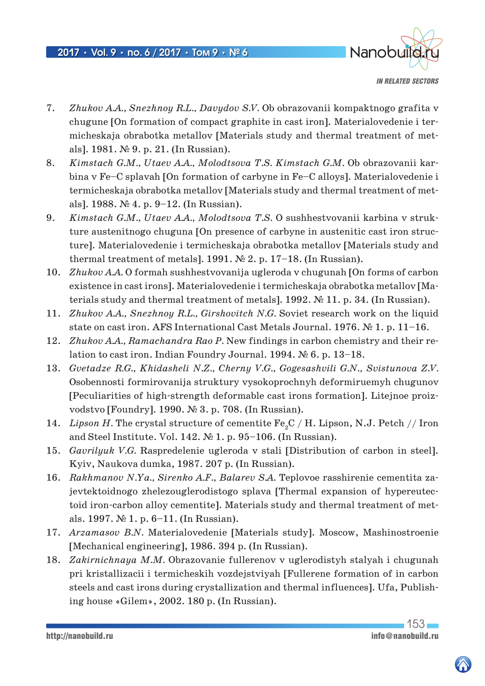

*IN RELATED SECTORS*

- 7. *Zhukov A.A., Snezhnoy R.L., Davydov S.V.* Ob obrazovanii kompaktnogo grafita v chugune [On formation of compact graphite in cast iron]. Materialovedenie i termicheskaja obrabotka metallov [Materials study and thermal treatment of metals]. 1981. № 9. p. 21. (In Russian).
- 8. *Kimstach G.M., Utaev A.A., Molodtsova T.S. Kimstach G.M.* Ob obrazovanii karbina v Fe–C splavah [On formation of carbyne in Fe–C alloys]. Materialovedenie i termicheskaja obrabotka metallov [Materials study and thermal treatment of metals]. 1988. № 4. p. 9–12. (In Russian).
- 9. *Kimstach G.M., Utaev A.A., Molodtsova T.S.* O sushhestvovanii karbina v strukture austenitnogo chuguna [On presence of carbyne in austenitic cast iron structure]. Materialovedenie i termicheskaja obrabotka metallov [Materials study and thermal treatment of metals]. 1991. № 2. p. 17–18. (In Russian).
- 10. *Zhukov A.A.* O formah sushhestvovanija ugleroda v chugunah [On forms of carbon existence in cast irons]. Materialovedenie i termicheskaja obrabotka metallov [Materials study and thermal treatment of metals]. 1992. № 11. p. 34. (In Russian).
- 11. *Zhukov A.A., Snezhnoy R.L., Girshovitch N.G.* Soviet research work on the liquid state on cast iron. AFS International Cast Metals Journal. 1976. № 1. p. 11–16.
- 12. *Zhukov A.A., Ramachandra Rao P.* New findings in carbon chemistry and their relation to cast iron. Indian Foundry Journal. 1994. № 6. p. 13–18.
- 13. *Gvetadze R.G., Khidasheli N.Z., Cherny V.G., Gogesashvili G.N., Svistunova Z.V.* Osobennosti formirovanija struktury vysokoprochnyh deformiruemyh chugunov [Peculiarities of high-strength deformable cast irons formation]. Litejnoe proizvodstvo [Foundry]. 1990. № 3. p. 708. (In Russian).
- 14. *Lipson H*. The crystal structure of cementite Fe<sub>2</sub>C / H. Lipson, N.J. Petch // Iron and Steel Institute. Vol. 142. № 1. p. 95–106. (In Russian).
- 15. *Gavrilyuk V.G.* Raspredelenie ugleroda v stali [Distribution of carbon in steel]. Kyiv, Naukova dumka, 1987. 207 p. (In Russian).
- 16. *Rakhmanov N.Ya., Sirenko A.F., Balarev S.A.* Teplovoe rasshirenie cementita zajevtektoidnogo zhelezouglerodistogo splava [Thermal expansion of hypereutectoid iron-carbon alloy cementite]. Materials study and thermal treatment of metals. 1997. № 1. p. 6–11. (In Russian).
- 17. *Arzamasov B.N.* Materialovedenie [Materials study]. Moscow, Mashinostroenie [Mechanical engineering], 1986. 394 p. (In Russian).
- 18. *Zakirnichnaya M.M.* Obrazovanie fullerenov v uglerodistyh stalyah i chugunah pri kristallizacii i termicheskih vozdejstviyah [Fullerene formation of in carbon steels and cast irons during crystallization and thermal influences]. Ufa, Publishing house «Gilem», 2002. 180 p. (In Russian).

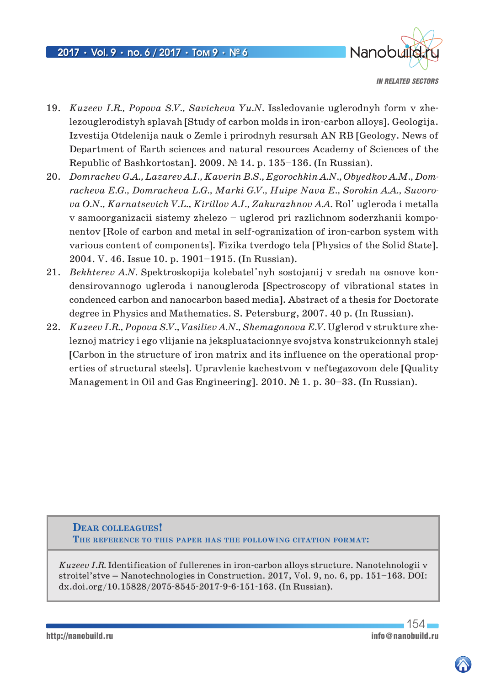

*IN RELATED SECTORS*

- 19. *Kuzeev I.R., Popova S.V., Savicheva Yu.N.* Issledovanie uglerodnyh form v zhelezouglerodistyh splavah [Study of carbon molds in iron-carbon alloys]. Geologija. Izvestija Otdelenija nauk o Zemle i prirodnyh resursah AN RB [Geology. News of Department of Earth sciences and natural resources Academy of Sciences of the Republic of Bashkortostan]. 2009. № 14. p. 135–136. (In Russian).
- 20. *Domrachev G.A., Lazarev A.I., Kaverin B.S., Egorochkin A.N., Obyedkov A.M., Domracheva E.G., Domracheva L.G., Marki G.V., Huipe Nava E., Sorokin A.A., Suvorova O.N., Karnatsevich V.L., Kirillov A.I., Zakurazhnov A.A.* Rol' ugleroda i metalla v samoоrganizacii sistemy zhelezo – uglerod pri razlichnom soderzhanii komponentov [Role of carbon and metal in self-ogranization of iron-carbon system with various content of components]. Fizika tverdogo tela [Physics of the Solid State]. 2004. V. 46. Issue 10. p. 1901–1915. (In Russian).
- 21. *Bekhterev A.N.* Spektroskopija kolebatel'nyh sostojanij v sredah na osnove kondensirovannogo ugleroda i nanougleroda [Spectroscopy of vibrational states in condenced carbon and nanocarbon based media]. Abstract of a thesis for Doctorate degree in Physics and Mathematics. S. Petersburg, 2007. 40 p. (In Russian).
- 22. *Kuzeev I.R., Popova S.V., Vasiliev A.N., Shemagonova E.V.* Uglerod v strukture zheleznoj matricy i ego vlijanie na jekspluatacionnye svojstva konstrukcionnyh stalej [Carbon in the structure of iron matrix and its influence on the operational properties of structural steels]. Upravlenie kachestvom v neftegazovom dele [Quality Management in Oil and Gas Engineering]. 2010. № 1. p. 30–33. (In Russian).

**Dear colleagues! The reference to this paper has the following citation format:**

*Kuzeev I.R.* Identification of fullerenes in iron-carbon alloys structure. Nanotehnologii v stroitel'stve = Nanotechnologies in Construction. 2017, Vol. 9, no. 6, pp. 151–163. DOI: dx.doi.org/10.15828/2075-8545-2017-9-6-151-163. (In Russian).

154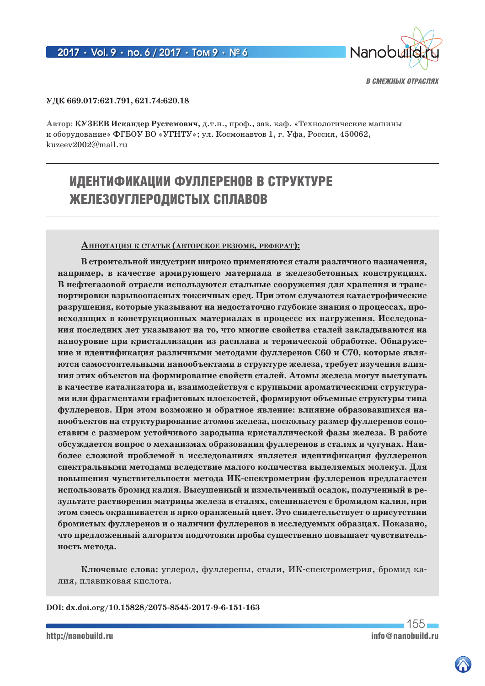

### **УДК 669.017:621.791, 621.74:620.18**

**Автор: КУЗЕЕВ Искандер Рустемович**, д.т.н., проф., зав. каф. «Технологические машины и оборудование» ФГБОУ ВО «УГНТУ»; ул. Космонавтов 1, г. Уфа, Россия, 450062, kuzeev2002@mail.ru

# ИДЕНТИФИКАЦИИ ФУЛЛЕРЕНОВ В СТРУКТУРЕ ЖЕЛЕЗОУГЛЕРОДИСТЫХ СПЛАВОВ

### **АннотАция к стАтье (Авторское резюме, реферАт):**

**В строительной индустрии широко применяются стали различного назначения, например, в качестве армирующего материала в железобетонных конструкциях. В нефтегазовой отрасли используются стальные сооружения для хранения и транспортировки взрывоопасных токсичных сред. При этом случаются катастрофические разрушения, которые указывают на недостаточно глубокие знания о процессах, происходящих в конструкционных материалах в процессе их нагружения. Исследования последних лет указывают на то, что многие свойства сталей закладываются на наноуровне при кристаллизации из расплава и термической обработке. Обнаружение и идентификация различными методами фуллеренов С60 и С70, которые являются самостоятельными нанообъектами в структуре железа, требует изучения влияния этих объектов на формирование свойств сталей. Атомы железа могут выступать в качестве катализатора и, взаимодействуя с крупными ароматическими структурами или фрагментами графитовых плоскостей, формируют объемные структуры типа фуллеренов. При этом возможно и обратное явление: влияние образовавшихся нанообъектов на структурирование атомов железа, поскольку размер фуллеренов сопоставим с размером устойчивого зародыша кристаллической фазы железа. В работе обсуждается вопрос о механизмах образования фуллеренов в сталях и чугунах. Наиболее сложной проблемой в исследованиях является идентификация фуллеренов спектральными методами вследствие малого количества выделяемых молекул. Для повышения чувствительности метода ИК-спектрометрии фуллеренов предлагается использовать бромид калия. Высушенный и измельченный осадок, полученный в результате растворения матрицы железа в сталях, смешивается с бромидом калия, при этом смесь окрашивается в ярко оранжевый цвет. Это свидетельствует о присутствии бромистых фуллеренов и о наличии фуллеренов в исследуемых образцах. Показано, что предложенный алгоритм подготовки пробы существенно повышает чувствительность метода.**

**Ключевые слова:** углерод, фуллерены, стали, ИК-спектрометрия, бромид калия, плавиковая кислота.

**DOI: dx.doi.org/10.15828/2075-8545-2017-9-6-151-163**

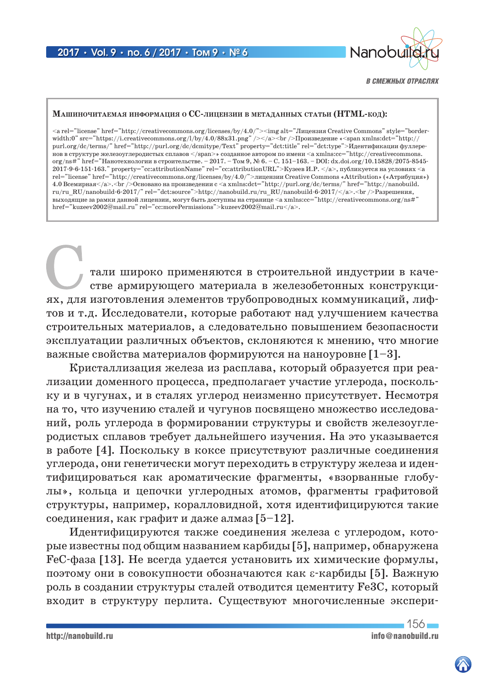

#### **МАшиночитАемАя информАция о CC-лицензии в метАдАнных стАтьи (HTML-код):**

<a rel="license" href="http://creativecommons.org/licenses/by/4.0/"><img alt="Лицензия Creative Commons" style="borderwidth:0" src="https://i.creativecommons.org/l/by/4.0/88x31.png" /></a><br />br />Произведение «<span xmlns:dct="http:// purl.org/dc/terms/" href="http://purl.org/dc/dcmitype/Text" property="dct:title" rel="dct:type">Идентификации фуллеренов в структуре железоуглеродистых сплавов </span>» созданное автором по имени <a xmlns:cc="http://creativecommons. org/ns#" href="Нанотехнологии в строительстве. – 2017. – Том 9, № 6. – С. 151–163. – DOI: dx.doi.org/10.15828/2075-8545- 2017-9-6-151-163." property="cc:attributionName" rel="cc:attributionURL">Кузеев И.Р. </a>, публикуется на условиях <a rel="license" href="http://creativecommons.org/licenses/by/4.0/">лицензии Creative Commons «Attribution» («Атрибуция») 4.0 Всемирная</a>.<br />Основано на произведении с <a xmlns:dct="http://purl.org/dc/terms/" href="http://nanobuild. ru/ru\_RU/nanobuild-6-2017/" rel="dct:source">http://nanobuild.ru/ru\_RU/nanobuild-6-2017/</a>.<br />Разрешения, выходящие за рамки данной лицензии, могут быть доступны на странице <a xmlns:cc="http://creativecommons.org/ns#" href="kuzeev2002@mail.ru" rel="cc:morePermissions">kuzeev2002@mail.ru</a>.

Стали широко применяются в строительной индустрии в каче-стве армирующего материала в железобетонных конструкциях, для изготовления элементов трубопроводных коммуникаций, лифтов и т.д. Исследователи, которые работают над улучшением качества строительных материалов, а следовательно повышением безопасности эксплуатации различных объектов, склоняются к мнению, что многие важные свойства материалов формируются на наноуровне  $[1-3]$ .

Кристаллизация железа из расплава, который образуется при реализации доменного процесса, предполагает участие углерода, поскольку и в чугунах, и в сталях углерод неизменно присутствует. Несмотря на то, что изучению сталей и чугунов посвящено множество исследований, роль углерода в формировании структуры и свойств железоуглеродистых сплавов требует дальнейшего изучения. На это указывается в работе [4]. Поскольку в коксе присутствуют различные соединения углерода, они генетически могут переходить в структуру железа и идентифицироваться как ароматические фрагменты, «взорванные глобулы», кольца и цепочки углеродных атомов, фрагменты графитовой структуры, например, коралловидной, хотя идентифицируются такие соединения, как графит и даже алмаз [5–12].

Идентифицируются также соединения железа с углеродом, которые известны под общим названием карбиды [5], например, обнаружена FeC-фаза [13]. Не всегда удается установить их химические формулы, поэтому они в совокупности обозначаются как ε-карбиды [5]. Важную роль в создании структуры сталей отводится цементиту Fe3C, который входит в структуру перлита. Существуют многочисленные экспери-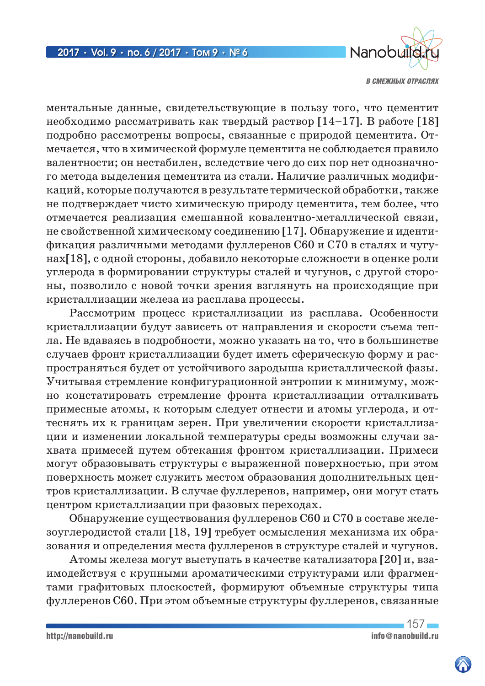

ментальные данные, свидетельствующие в пользу того, что цементит необходимо рассматривать как твердый раствор [14–17]. В работе [18] подробно рассмотрены вопросы, связанные с природой цементита. Отмечается, что в химической формуле цементита не соблюдается правило валентности; он нестабилен, вследствие чего до сих пор нет однозначного метода выделения цементита из стали. Наличие различных модификаций, которые получаются в результате термической обработки, также не подтверждает чисто химическую природу цементита, тем более, что отмечается реализация смешанной ковалентно-металлической связи, не свойственной химическому соединению [17]. Обнаружение и идентификация различными методами фуллеренов С60 и С70 в сталях и чугунах[18], с одной стороны, добавило некоторые сложности в оценке роли углерода в формировании структуры сталей и чугунов, с другой стороны, позволило с новой точки зрения взглянуть на происходящие при кристаллизации железа из расплава процессы.

Рассмотрим процесс кристаллизации из расплава. Особенности кристаллизации будут зависеть от направления и скорости съема тепла. Не вдаваясь в подробности, можно указать на то, что в большинстве случаев фронт кристаллизации будет иметь сферическую форму и распространяться будет от устойчивого зародыша кристаллической фазы. Учитывая стремление конфигурационной энтропии к минимуму, можно констатировать стремление фронта кристаллизации отталкивать примесные атомы, к которым следует отнести и атомы углерода, и оттеснять их к границам зерен. При увеличении скорости кристаллизации и изменении локальной температуры среды возможны случаи захвата примесей путем обтекания фронтом кристаллизации. Примеси могут образовывать структуры с выраженной поверхностью, при этом поверхность может служить местом образования дополнительных центров кристаллизации. В случае фуллеренов, например, они могут стать центром кристаллизации при фазовых переходах.

Обнаружение существования фуллеренов С60 и С70 в составе железоуглеродистой стали [18, 19] требует осмысления механизма их образования и определения места фуллеренов в структуре сталей и чугунов.

Атомы железа могут выступать в качестве катализатора [20] и, взаимодействуя с крупными ароматическими структурами или фрагментами графитовых плоскостей, формируют объемные структуры типа фуллеренов С60. При этом объемные структуры фуллеренов, связанные

 $157$ http://nanobuild.ru<br>
info@nanobuild.ru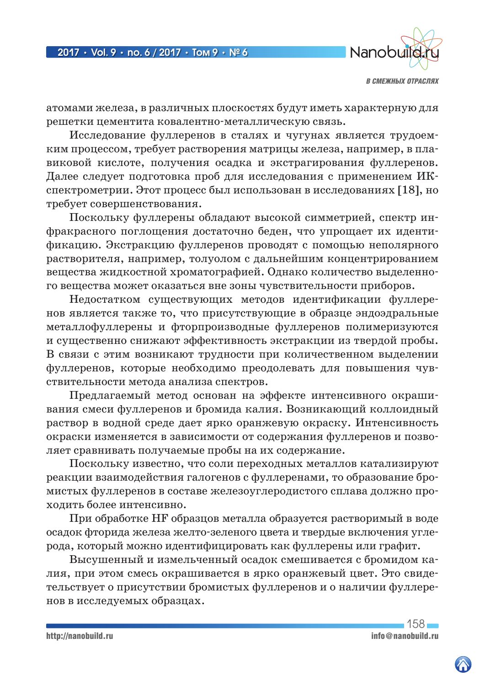

атомами железа, в различных плоскостях будут иметь характерную для решетки цементита ковалентно-металлическую связь.

Исследование фуллеренов в сталях и чугунах является трудоемким процессом, требует растворения матрицы железа, например, в плавиковой кислоте, получения осадка и экстрагирования фуллеренов. Далее следует подготовка проб для исследования с применением ИКспектрометрии. Этот процесс был использован в исследованиях [18], но требует совершенствования.

Поскольку фуллерены обладают высокой симметрией, спектр инфракрасного поглощения достаточно беден, что упрощает их идентификацию. Экстракцию фуллеренов проводят с помощью неполярного растворителя, например, толуолом с дальнейшим концентрированием вещества жидкостной хроматографией. Однако количество выделенного вещества может оказаться вне зоны чувствительности приборов.

Недостатком существующих методов идентификации фуллеренов является также то, что присутствующие в образце эндоэдральные металлофуллерены и фторпроизводные фуллеренов полимеризуются и существенно снижают эффективность экстракции из твердой пробы. В связи с этим возникают трудности при количественном выделении фуллеренов, которые необходимо преодолевать для повышения чувствительности метода анализа спектров.

Предлагаемый метод основан на эффекте интенсивного окрашивания смеси фуллеренов и бромида калия. Возникающий коллоидный раствор в водной среде дает ярко оранжевую окраску. Интенсивность окраски изменяется в зависимости от содержания фуллеренов и позволяет сравнивать получаемые пробы на их содержание.

Поскольку известно, что соли переходных металлов катализируют реакции взаимодействия галогенов с фуллеренами, то образование бромистых фуллеренов в составе железоуглеродистого сплава должно проходить более интенсивно.

При обработке HF образцов металла образуется растворимый в воде осадок фторида железа желто-зеленого цвета и твердые включения углерода, который можно идентифицировать как фуллерены или графит.

Высушенный и измельченный осадок смешивается с бромидом калия, при этом смесь окрашивается в ярко оранжевый цвет. Это свидетельствует о присутствии бромистых фуллеренов и о наличии фуллеренов в исследуемых образцах.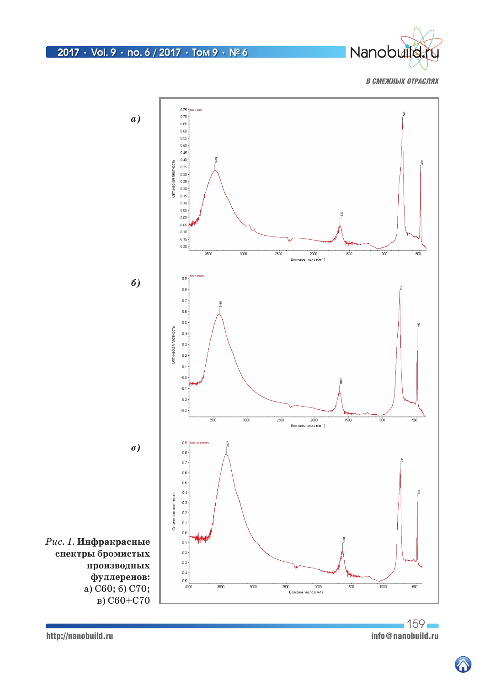

# 2017 **•** Vol. 9 **•** no. 6 / 2017 **•** Том 9 **•** № 6

*В СМЕЖНЫХ ОТРАСЛЯХ*



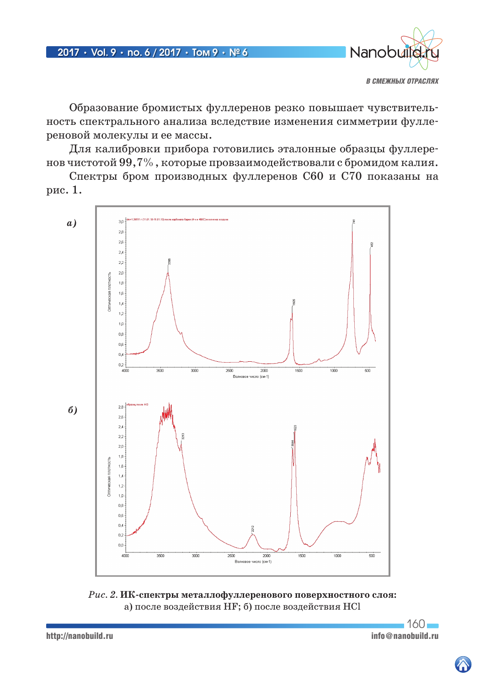

Образование бромистых фуллеренов резко повышает чувствительность спектрального анализа вследствие изменения симметрии фуллереновой молекулы и ее массы.

Для калибровки прибора готовились эталонные образцы фуллеренов чистотой 99,7%, которые провзаимодействовали с бромидом калия.

Спектры бром производных фуллеренов С60 и С70 показаны на рис. 1.



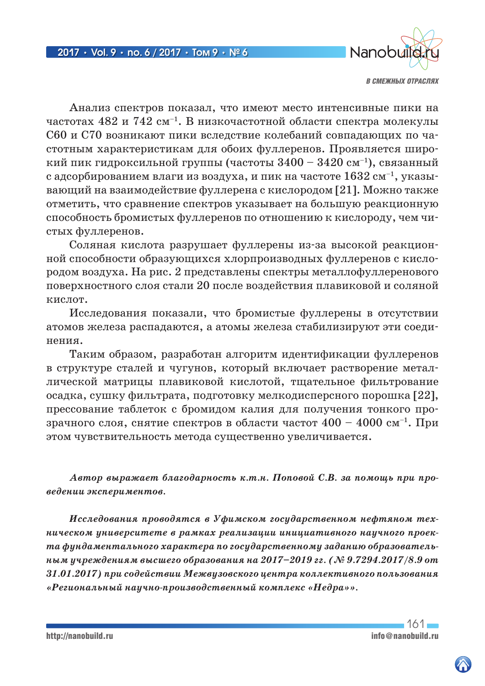

Анализ спектров показал, что имеют место интенсивные пики на частотах 482 и 742 см<sup>-1</sup>. В низкочастотной области спектра молекулы С60 и С70 возникают пики вследствие колебаний совпадающих по частотным характеристикам для обоих фуллеренов. Проявляется широкий пик гидроксильной группы (частоты  $3400 - 3420$  cm<sup>-1</sup>), связанный с адсорбированием влаги из воздуха, и пик на частоте  $1632 \text{ cm}^{-1}$ , указывающий на взаимодействие фуллерена с кислородом [21]. Можно также отметить, что сравнение спектров указывает на большую реакционную способность бромистых фуллеренов по отношению к кислороду, чем чистых фуллеренов.

Соляная кислота разрушает фуллерены из-за высокой реакционной способности образующихся хлорпроизводных фуллеренов с кислородом воздуха. На рис. 2 представлены спектры металлофуллеренового поверхностного слоя стали 20 после воздействия плавиковой и соляной кислот.

Исследования показали, что бромистые фуллерены в отсутствии атомов железа распадаются, а атомы железа стабилизируют эти соединения.

Таким образом, разработан алгоритм идентификации фуллеренов в структуре сталей и чугунов, который включает растворение металлической матрицы плавиковой кислотой, тщательное фильтрование осадка, сушку фильтрата, подготовку мелкодисперсного порошка [22], прессование таблеток с бромидом калия для получения тонкого прозрачного слоя, снятие спектров в области частот  $400 - 4000$  см<sup>-1</sup>. При этом чувствительность метода существенно увеличивается.

*Автор выражает благодарность к.т.н. Поповой С.В. за помощь при проведении экспериментов.*

*Исследования проводятся в Уфимском государственном нефтяном техническом университете в рамках реализации инициативного научного проекта фундаментального характера по государственному заданию образовательным учреждениям высшего образования на 2017–2019 гг. (№ 9.7294.2017/8.9 от 31.01.2017) при содействии Межвузовского центра коллективного пользования «Региональный научно-производственный комплекс «Недра»».*

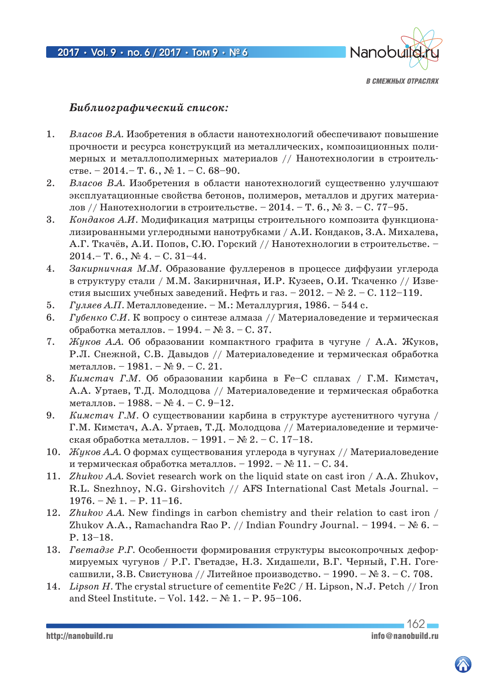

## *Библиографический список:*

- 1. *Власов В.А.* Изобретения в области нанотехнологий обеспечивают повышение прочности и ресурса конструкций из металлических, композиционных полимерных и металлополимерных материалов // Нанотехнологии в строительстве. – 2014. – Т. 6., № 1. – С. 68–90.
- 2. *Власов В.А.* Изобретения в области нанотехнологий существенно улучшают эксплуатационные свойства бетонов, полимеров, металлов и других материалов // Нанотехнологии в строительстве. – 2014. – Т. 6., № 3. – С. 77–95.
- 3. *Кондаков А.И.* Модификация матрицы строительного композита функционализированными углеродными нанотрубками / А.И. Кондаков, З.А. Михалева, А.Г. Ткачёв, А.И. Попов, С.Ю. Горский // Нанотехнологии в строительстве. – 2014.– Т. 6., № 4. – С. 31–44.
- 4. *Закирничная М.М.* Образование фуллеренов в процессе диффузии углерода в структуру стали / М.М. Закирничная, И.Р. Кузеев, О.И. Ткаченко // Известия высших учебных заведений. Нефть и газ. – 2012. – № 2. – С. 112–119.
- 5. *Гуляев А.П.* Металловедение. М.: Металлургия, 1986. 544 с.
- 6. *Губенко С.И.* К вопросу о синтезе алмаза // Материаловедение и термическая обработка металлов. – 1994. – № 3. – С. 37.
- 7. *Жуков А.А.* Об образовании компактного графита в чугуне / А.А. Жуков, Р.Л. Снежной, С.В. Давыдов // Материаловедение и термическая обработка металлов. – 1981. – № 9. – С. 21.
- 8. *Кимстач Г.М.* Об образовании карбина в Fe–C сплавах / Г.М. Кимстач, А.А. Уртаев, Т.Д. Молодцова // Материаловедение и термическая обработка металлов. – 1988. – № 4. – С. 9–12.
- 9. *Кимстач Г.М.* О существовании карбина в структуре аустенитного чугуна / Г.М. Кимстач, А.А. Уртаев, Т.Д. Молодцова // Материаловедение и термическая обработка металлов. – 1991. –  $\mathcal{N}_2$  2. – С. 17–18.
- 10. *Жуков А.А.* О формах существования углерода в чугунах // Материаловедение и термическая обработка металлов. – 1992. –  $\mathbb{N}$  11. – С. 34.
- 11. *Zhukov A.A.* Soviet research work on the liquid state on cast iron / A.A. Zhukov, R.L. Snezhnoy, N.G. Girshovitch // AFS International Cast Metals Journal. –  $1976. - N_2 1. - P. 11-16.$
- 12. *Zhukov A.A.* New findings in carbon chemistry and their relation to cast iron / Zhukov A.A., Ramachandra Rao P. // Indian Foundry Journal. – 1994. –  $\mathbb{N}_2$  6. – P. 13–18.
- 13. *Гветадзе Р.Г.* Особенности формирования структуры высокопрочных деформируемых чугунов / Р.Г. Гветадзе, Н.З. Хидашели, В.Г. Черный, Г.Н. Гогесашвили, З.В. Свистунова // Литейное производство. – 1990. – № 3. – С. 708.
- 14. *Lipson H.* The crystal structure of cementite Fe2C / H. Lipson, N.J. Petch // Iron and Steel Institute. – Vol.  $142. - N_2 1. - P. 95-106.$